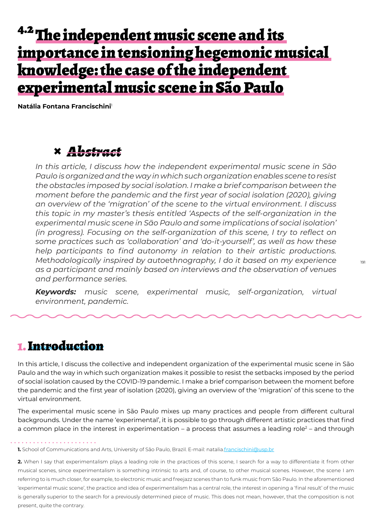# <sup>4.2</sup> The independent music scene and its importance in tensioning hegemonic musical knowledge: the case of the independent experimental music scene in São Paulo

**Natália Fontana Francischini**<sup>1</sup>

### **×** *Abstract*

*In this article, I discuss how the independent experimental music scene in São Paulo is organized and the way in which such organization enables scene to resist the obstacles imposed by social isolation. I make a brief comparison b*et*ween the moment before the pandemic and the first year of social isolation (2020), giving an overview of the 'migration' of the scene to the virtual environment. I discuss this topic in my master's thesis entitled 'Aspects of the self-organization in the experimental music scene in São Paulo and some implications of social isolation' (in progress). Focusing on the self-organization of this scene, I try to reflect on some practices such as 'collaboration' and 'do-it-yourself', as well as how these help participants to find autonomy in relation to their artistic productions. M*et*hodologically inspired by auto*et*hnography, I do it based on my experience as a participant and mainly based on interviews and the observation of venues and performance series.*

*Keywords: music scene, experimental music, self-organization, virtual environment, pandemic.*

### 1. Introduction

In this article, I discuss the collective and independent organization of the experimental music scene in São Paulo and the way in which such organization makes it possible to resist the setbacks imposed by the period of social isolation caused by the COVID-19 pandemic. I make a brief comparison between the moment before the pandemic and the first year of isolation (2020), giving an overview of the 'migration' of this scene to the virtual environment.

The experimental music scene in São Paulo mixes up many practices and people from different cultural backgrounds. Under the name 'experimental', it is possible to go through different artistic practices that find a common place in the interest in experimentation – a process that assumes a leading role<sup>2</sup> – and through

**1.** School of Communications and Arts, University of São Paulo, Brazil. E-mail: natalia.francischini@usp.br

**2.** When I say that experimentalism plays a leading role in the practices of this scene, I search for a way to differentiate it from other musical scenes, since experimentalism is something intrinsic to arts and, of course, to other musical scenes. However, the scene I am referring to is much closer, for example, to electronic music and freejazz scenes than to funk music from São Paulo. In the aforementioned 'experimental music scene', the practice and idea of experimentalism has a central role, the interest in opening a 'final result' of the music is generally superior to the search for a previously determined piece of music. This does not mean, however, that the composition is not present, quite the contrary.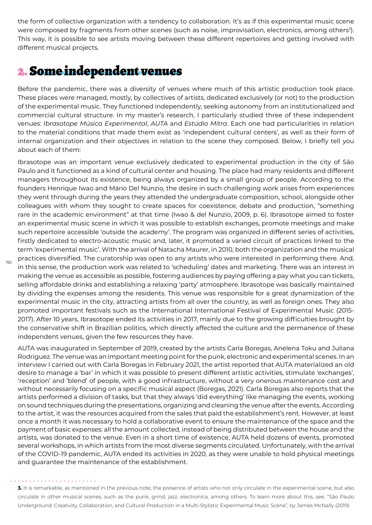the form of collective organization with a tendency to collaboration. It's as if this experimental music scene were composed by fragments from other scenes (such as noise, improvisation, electronics, among others<sup>3</sup>). This way, it is possible to see artists moving between these different repertoires and getting involved with different musical projects.

### 2. Some independent venues

Before the pandemic, there was a diversity of venues where much of this artistic production took place. These places were managed, mostly, by collectives of artists, dedicated exclusively (or not) to the production of the experimental music. They functioned independently, seeking autonomy from an institutionalized and commercial cultural structure. In my master's research, I particularly studied three of these independent venues: *Ibrasotope Música Experimental*, *AUTA* and *Estúdio Mitra*. Each one had particularities in relation to the material conditions that made them exist as 'independent cultural centers', as well as their form of internal organization and their objectives in relation to the scene they composed. Below, I briefly tell you about each of them:

Ibrasotope was an important venue exclusively dedicated to experimental production in the city of São Paulo and it functioned as a kind of cultural center and housing. The place had many residents and different managers throughout its existence, being always organized by a small group of people. According to the founders Henrique Iwao and Mário Del Nunzio, the desire in such challenging work arises from experiences they went through during the years they attended the undergraduate composition, school, alongside other colleagues with whom they sought to create spaces for coexistence, debate and production, "something rare in the academic environment" at that time (Iwao & del Nunzio, 2009, p. 6). Ibrasotope aimed to foster an experimental music scene in which it was possible to establish exchanges, promote meetings and make such repertoire accessible 'outside the academy'. The program was organized in different series of activities, firstly dedicated to electro-acoustic music and, later, it promoted a varied circuit of practices linked to the term 'experimental music'. With the arrival of Natacha Maurer, in 2010, both the organization and the musical practices diversified. The curatorship was open to any artists who were interested in performing there. And, in this sense, the production work was related to 'scheduling' dates and marketing. There was an interest in making the venue as accessible as possible, fostering audiences by paying offering a pay what you can tickets, selling affordable drinks and establishing a relaxing 'party' atmosphere. Ibrasotope was basically maintained by dividing the expenses among the residents. This venue was responsible for a great dynamization of the experimental music in the city, attracting artists from all over the country, as well as foreign ones. They also promoted important festivals such as the International International Festival of Experimental Music (2015- 2017). After 10 years, Ibrasotope ended its activities in 2017, mainly due to the growing difficulties brought by the conservative shift in Brazilian politics, which directly affected the culture and the permanence of these independent venues, given the few resources they have.

AUTA was inaugurated in September of 2019, created by the artists Carla Boregas, Anelena Toku and Juliana Rodriguez. The venue was an important meeting point for the punk, electronic and experimental scenes. In an interview I carried out with Carla Boregas in February 2021, the artist reported that AUTA materialized an old desire to manage a 'bar' in which it was possible to present different artistic activities, stimulate 'exchanges', 'reception' and 'blend' of people, with a good infrastructure, without a very onerous maintenance cost and without necessarily focusing on a specific musical aspect (Boregas, 2021). Carla Boregas also reports that the artists performed a division of tasks, but that they always 'did everything' like managing the events, working on sound techniques during the presentations, organizing and cleaning the venue after the events. According to the artist, it was the resources acquired from the sales that paid the establishment's rent. However, at least once a month it was necessary to hold a collaborative event to ensure the maintenance of the space and the payment of basic expenses: all the amount collected, instead of being distributed between the house and the artists, was donated to the venue. Even in a short time of existence, AUTA held dozens of events, promoted several workshops, in which artists from the most diverse segments circulated. Unfortunately, with the arrival of the COVID-19 pandemic, AUTA ended its activities in 2020, as they were unable to hold physical meetings and guarantee the maintenance of the establishment.

#### 

192

**3.** It is remarkable, as mentioned in the previous note, the presence of artists who not only circulate in the experimental scene, but also circulate in other musical scenes, such as the punk, grind, jazz, electronica, among others. To learn more about this, see: "São Paulo Underground: Creativity, Collaboration, and Cultural Production in a Multi-Stylistic Experimental Music Scene", by James McNally (2019).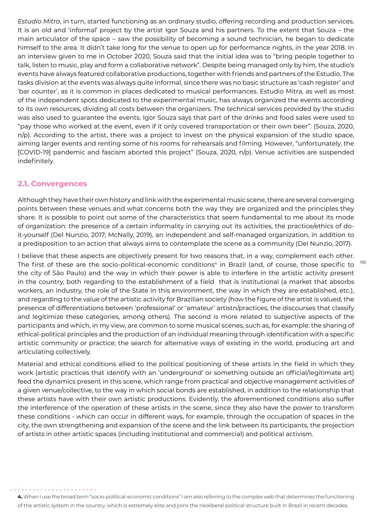*Estudio Mitra*, in turn, started functioning as an ordinary studio, offering recording and production services. It is an old and 'informal' project by the artist Igor Souza and his partners. To the extent that Souza – the main articulator of the space – saw the possibility of becoming a sound technician, he began to dedicate himself to the area. It didn't take long for the venue to open up for performance nights, in the year 2018. In an interview given to me in October 2020, Souza said that the initial idea was to "bring people together to talk, listen to music, play and form a collaborative network". Despite being managed only by him, the studio's events have always featured collaborative productions, together with friends and partners of the Estudio. The tasks division at the events was always quite informal, since there was no basic structure as 'cash register' and 'bar counter', as it is common in places dedicated to musical performances. Estudio Mitra, as well as most of the independent spots dedicated to the experimental music, has always organized the events according to its own resources, dividing all costs between the organizers. The technical services provided by the studio was also used to guarantee the events. Igor Souza says that part of the drinks and food sales were used to "pay those who worked at the event, even if it only covered transportation or their own beer". (Souza, 2020, n/p). According to the artist, there was a project to invest on the physical expansion of the studio space, aiming larger events and renting some of his rooms for rehearsals and filming. However, "unfortunately, the [COVID-19] pandemic and fascism aborted this project" (Souza, 2020, n/p). Venue activities are suspended indefinitely.

#### **2.1. Convergences**

Although they have their own history and link with the experimental music scene, there are several converging points between these venues and what concerns both the way they are organized and the principles they share. It is possible to point out some of the characteristics that seem fundamental to me about its mode of organization: the presence of a certain informality in carrying out its activities, the practice/ethics of doit-yourself (Del Nunzio, 2017; McNally, 2019), an independent and self-managed organization, in addition to a predisposition to an action that always aims to contemplate the scene as a community (Del Nunzio, 2017).

I believe that these aspects are objectively present for two reasons that, in a way, complement each other. The first of these are the socio-political-economic conditions<sup>4</sup> in Brazil (and, of course, those specific to the city of São Paulo) and the way in which their power is able to interfere in the artistic activity present in the country, both regarding to the establishment of a field that is institutional (a market that absorbs workers, an industry, the role of the State in this environment, the way in which they are established, etc.), and regarding to the value of the artistic activity for Brazilian society (how the figure of the artist is valued, the presence of differentiations between 'professional' or 'amateur' artistn/practices, the discourses that classify and legitimize these categories, among others). The second is more related to subjective aspects of the participants and which, in my view, are common to some musical scenes, such as, for example: the sharing of ethical-political principles and the production of an individual meaning through identification with a specific artistic community or practice; the search for alternative ways of existing in the world, producing art and articulating collectively.

Material and ethical conditions allied to the political positioning of these artists in the field in which they work (artistic practices that identify with an 'underground' or something outside an official/legitimate art) feed the dynamics present in this scene, which range from practical and objective management activities of a given venue/collective, to the way in which social bonds are established, in addition to the relationship that these artists have with their own artistic productions. Evidently, the aforementioned conditions also suffer the interference of the operation of these artists in the scene, since they also have the power to transform these conditions - which can occur in different ways, for example, through the occupation of spaces in the city, the own strengthening and expansion of the scene and the link between its participants, the projection of artists in other artistic spaces (including institutional and commercial) and political activism.

193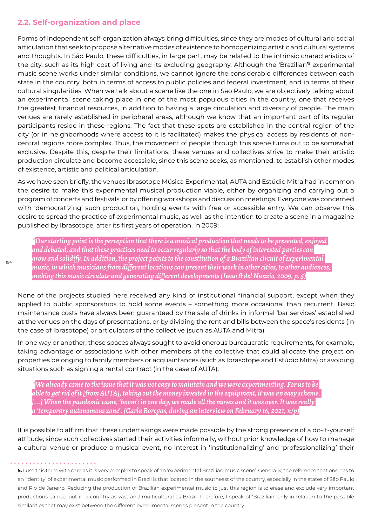### **2.2. Self-organization and place**

Forms of independent self-organization always bring difficulties, since they are modes of cultural and social articulation that seek to propose alternative modes of existence to homogenizing artistic and cultural systems and thoughts. In São Paulo, these difficulties, in large part, may be related to the intrinsic characteristics of the city, such as its high cost of living and its excluding geography. Although the 'Brazilian'<sup>s</sup> experimental music scene works under similar conditions, we cannot ignore the considerable differences between each state in the country, both in terms of access to public policies and federal investment, and in terms of their cultural singularities. When we talk about a scene like the one in São Paulo, we are objectively talking about an experimental scene taking place in one of the most populous cities in the country, one that receives the greatest financial resources, in addition to having a large circulation and diversity of people. The main venues are rarely established in peripheral areas, although we know that an important part of its regular participants reside in these regions. The fact that these spots are established in the central region of the city (or in neighborhoods where access to it is facilitated) makes the physical access by residents of noncentral regions more complex. Thus, the movement of people through this scene turns out to be somewhat exclusive. Despite this, despite their limitations, these venues and collectives strive to make their artistic production circulate and become accessible, since this scene seeks, as mentioned, to establish other modes of existence, artistic and political articulation.

As we have seen briefly, the venues Ibrasotope Música Experimental, AUTA and Estúdio Mitra had in common the desire to make this experimental musical production viable, either by organizing and carrying out a program of concerts and festivals, or by offering workshops and discussion meetings. Everyone was concerned with 'democratizing' such production, holding events with free or accessible entry. We can observe this desire to spread the practice of experimental music, as well as the intention to create a scene in a magazine published by Ibrasotope, after its first years of operation, in 2009:

*\*Our starting point is the perception that there is a musical production that needs to be presented, enjoyed and debated, and that these practices need to occur regularly so that the body of interested parties can grow and solidify. In addition, the project points to the constitution of a Brazilian circuit of experimental music, in which musicians from different locations can present their work in other cities, to other audiences, making this music circulate and generating different developments (Iwao & del Nunzio, 2009, p. 5)*

None of the projects studied here received any kind of institutional financial support, except when they applied to public sponsorships to hold some events – something more occasional than recurrent. Basic maintenance costs have always been guaranteed by the sale of drinks in informal 'bar services' established at the venues on the days of presentations, or by dividing the rent and bills between the space's residents (in the case of Ibrasotope) or articulators of the collective (such as AUTA and Mitra).

In one way or another, these spaces always sought to avoid onerous bureaucratic requirements, for example, taking advantage of associations with other members of the collective that could allocate the project on properties belonging to family members or acquaintances (such as Ibrasotope and Estúdio Mitra) or avoiding situations such as signing a rental contract (in the case of AUTA):

*\*We already came to the issue that it was not easy to maintain and we were experimenting. For us to be able to get rid of it [from AUTA], taking out the money invested in the equipment, it was an easy scheme. [...] When the pandemic came, 'boom': in one day, we made all the moves and it was over. It was really a 'temporary autonomous zone'. (Carla Boregas, during an interview on February 16, 2021, n/p)*

It is possible to affirm that these undertakings were made possible by the strong presence of a do-it-yourself attitude, since such collectives started their activities informally, without prior knowledge of how to manage a cultural venue or produce a musical event, no interest in 'institutionalizing' and 'professionalizing' their

**5.** I use this term with care as it is very complex to speak of an 'experimental Brazilian music scene'. Generally, the reference that one has to an 'identity' of experimental music performed in Brazil is that located in the southeast of the country, especially in the states of São Paulo and Rio de Janeiro. Reducing the production of Brazilian experimental music to just this region is to erase and exclude very important productions carried out in a country as vast and multicultural as Brazil. Therefore, I speak of 'Brazilian' only in relation to the possible similarities that may exist between the different experimental scenes present in the country.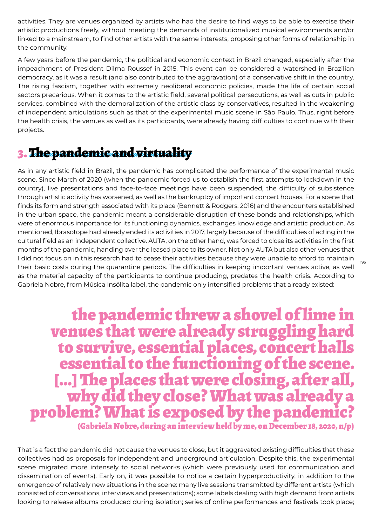activities. They are venues organized by artists who had the desire to find ways to be able to exercise their artistic productions freely, without meeting the demands of institutionalized musical environments and/or linked to a mainstream, to find other artists with the same interests, proposing other forms of relationship in the community.

A few years before the pandemic, the political and economic context in Brazil changed, especially after the impeachment of President Dilma Roussef in 2015. This event can be considered a watershed in Brazilian democracy, as it was a result (and also contributed to the aggravation) of a conservative shift in the country. The rising fascism, together with extremely neoliberal economic policies, made the life of certain social sectors precarious. When it comes to the artistic field, several political persecutions, as well as cuts in public services, combined with the demoralization of the artistic class by conservatives, resulted in the weakening of independent articulations such as that of the experimental music scene in São Paulo. Thus, right before the health crisis, the venues as well as its participants, were already having difficulties to continue with their projects.

## 3. The pandemic and virtuality

As in any artistic field in Brazil, the pandemic has complicated the performance of the experimental music scene. Since March of 2020 (when the pandemic forced us to establish the first attempts to lockdown in the country), live presentations and face-to-face meetings have been suspended, the difficulty of subsistence through artistic activity has worsened, as well as the bankruptcy of important concert houses. For a scene that finds its form and strength associated with its place (Bennett & Rodgers, 2016) and the encounters established in the urban space, the pandemic meant a considerable disruption of these bonds and relationships, which were of enormous importance for its functioning dynamics, exchanges knowledge and artistic production. As mentioned, Ibrasotope had already ended its activities in 2017, largely because of the difficulties of acting in the cultural field as an independent collective. AUTA, on the other hand, was forced to close its activities in the first months of the pandemic, handing over the leased place to its owner. Not only AUTA but also other venues that I did not focus on in this research had to cease their activities because they were unable to afford to maintain their basic costs during the quarantine periods. The difficulties in keeping important venues active, as well as the material capacity of the participants to continue producing, predates the health crisis. According to Gabriela Nobre, from Música Insólita label, the pandemic only intensified problems that already existed:

the pandemic threw a shovel of lime in venues that were already struggling hard to survive, essential places, concert halls essential to the functioning of the scene. [...] The places that were closing, after all, why did they close? What was already a problem? What is exposed by the pandemic? (Gabriela Nobre, during an interview held by me, on December 18, 2020, n/p)

That is a fact the pandemic did not cause the venues to close, but it aggravated existing difficulties that these collectives had as proposals for independent and underground articulation. Despite this, the experimental scene migrated more intensely to social networks (which were previously used for communication and dissemination of events). Early on, it was possible to notice a certain hyperproductivity, in addition to the emergence of relatively new situations in the scene: many live sessions transmitted by different artists (which consisted of conversations, interviews and presentations); some labels dealing with high demand from artists looking to release albums produced during isolation; series of online performances and festivals took place;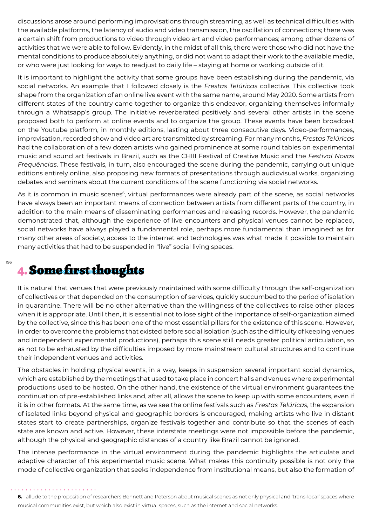discussions arose around performing improvisations through streaming, as well as technical difficulties with the available platforms, the latency of audio and video transmission, the oscillation of connections; there was a certain shift from productions to video through video art and video performances; among other dozens of activities that we were able to follow. Evidently, in the midst of all this, there were those who did not have the mental conditions to produce absolutely anything, or did not want to adapt their work to the available media, or who were just looking for ways to readjust to daily life – staying at home or working outside of it.

It is important to highlight the activity that some groups have been establishing during the pandemic, via social networks. An example that I followed closely is the *Frestas Telúricas* collective. This collective took shape from the organization of an online live event with the same name, around May 2020. Some artists from different states of the country came together to organize this endeavor, organizing themselves informally through a Whatsapp's group. The initiative reverberated positively and several other artists in the scene proposed both to perform at online events and to organize the group. These events have been broadcast on the Youtube platform, in monthly editions, lasting about three consecutive days. Video-performances, improvisation, recorded show and video art are transmitted by streaming. For many months, *Frestas Telúricas* had the collaboration of a few dozen artists who gained prominence at some round tables on experimental music and sound art festivals in Brazil, such as the CHIII Festival of Creative Music and the *Festival Novas Frequências*. These festivals, in turn, also encouraged the scene during the pandemic, carrying out unique editions entirely online, also proposing new formats of presentations through audiovisual works, organizing debates and seminars about the current conditions of the scene functioning via social networks.

As it is common in music scenes<sup>6</sup>, virtual performances were already part of the scene, as social networks have always been an important means of connection between artists from different parts of the country, in addition to the main means of disseminating performances and releasing records. However, the pandemic demonstrated that, although the experience of live encounters and physical venues cannot be replaced, social networks have always played a fundamental role, perhaps more fundamental than imagined: as for many other areas of society, access to the internet and technologies was what made it possible to maintain many activities that had to be suspended in "live" social living spaces.

### 4. Some first thoughts

It is natural that venues that were previously maintained with some difficulty through the self-organization of collectives or that depended on the consumption of services, quickly succumbed to the period of isolation in quarantine. There will be no other alternative than the willingness of the collectives to raise other places when it is appropriate. Until then, it is essential not to lose sight of the importance of self-organization aimed by the collective, since this has been one of the most essential pillars for the existence of this scene. However, in order to overcome the problems that existed before social isolation (such as the difficulty of keeping venues and independent experimental productions), perhaps this scene still needs greater political articulation, so as not to be exhausted by the difficulties imposed by more mainstream cultural structures and to continue their independent venues and activities.

The obstacles in holding physical events, in a way, keeps in suspension several important social dynamics, which are established by the meetings that used to take place in concert halls and venues where experimental productions used to be hosted. On the other hand, the existence of the virtual environment guarantees the continuation of pre-established links and, after all, allows the scene to keep up with some encounters, even if it is in other formats. At the same time, as we see the online festivals such as *Frestas Telúricas*, the expansion of isolated links beyond physical and geographic borders is encouraged, making artists who live in distant states start to create partnerships, organize festivals together and contribute so that the scenes of each state are known and active. However, these interstate meetings were not impossible before the pandemic, although the physical and geographic distances of a country like Brazil cannot be ignored.

The intense performance in the virtual environment during the pandemic highlights the articulate and adaptive character of this experimental music scene. What makes this continuity possible is not only the mode of collective organization that seeks independence from institutional means, but also the formation of

196

**<sup>6.</sup>** I allude to the proposition of researchers Bennett and Peterson about musical scenes as not only physical and 'trans-local' spaces where musical communities exist, but which also exist in virtual spaces, such as the internet and social networks.